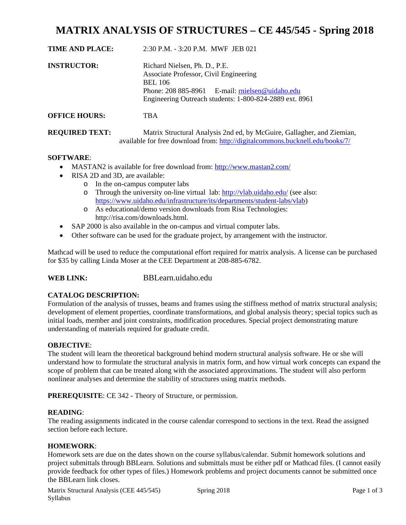# **MATRIX ANALYSIS OF STRUCTURES – CE 445/545 - Spring 2018**

| <b>TIME AND PLACE:</b> | $2:30$ P.M. $-3:20$ P.M. MWF JEB 021                                                                                                                                                                    |  |
|------------------------|---------------------------------------------------------------------------------------------------------------------------------------------------------------------------------------------------------|--|
| <b>INSTRUCTOR:</b>     | Richard Nielsen, Ph. D., P.E.<br>Associate Professor, Civil Engineering<br><b>BEL 106</b><br>Phone: 208 885-8961 E-mail: rnielsen@uidaho.edu<br>Engineering Outreach students: 1-800-824-2889 ext. 8961 |  |
| <b>OFFICE HOURS:</b>   | TBA                                                                                                                                                                                                     |  |
| <b>REQUIRED TEXT:</b>  | Matrix Structural Analysis 2nd ed, by McGuire, Gallagher, and Ziemian,                                                                                                                                  |  |

# available for free download from: http://digitalcommons.bucknell.edu/books/7/

### **SOFTWARE**:

- MASTAN2 is available for free download from: http://www.mastan2.com/
- RISA 2D and 3D, are available:
	- o In the on-campus computer labs
		- o Through the university on-line virtual lab: http://vlab.uidaho.edu/ (see also: https://www.uidaho.edu/infrastructure/its/departments/student-labs/vlab)
		- o As educational/demo version downloads from Risa Technologies: http://risa.com/downloads.html.
- SAP 2000 is also available in the on-campus and virtual computer labs.
- Other software can be used for the graduate project, by arrangement with the instructor.

Mathcad will be used to reduce the computational effort required for matrix analysis. A license can be purchased for \$35 by calling Linda Moser at the CEE Department at 208-885-6782.

### **WEB LINK:** BBLearn.uidaho.edu

### **CATALOG DESCRIPTION:**

Formulation of the analysis of trusses, beams and frames using the stiffness method of matrix structural analysis; development of element properties, coordinate transformations, and global analysis theory; special topics such as initial loads, member and joint constraints, modification procedures. Special project demonstrating mature understanding of materials required for graduate credit.

#### **OBJECTIVE**:

The student will learn the theoretical background behind modern structural analysis software. He or she will understand how to formulate the structural analysis in matrix form, and how virtual work concepts can expand the scope of problem that can be treated along with the associated approximations. The student will also perform nonlinear analyses and determine the stability of structures using matrix methods.

**PREREQUISITE**: CE 342 - Theory of Structure, or permission.

#### **READING**:

The reading assignments indicated in the course calendar correspond to sections in the text. Read the assigned section before each lecture.

#### **HOMEWORK**:

Homework sets are due on the dates shown on the course syllabus/calendar. Submit homework solutions and project submittals through BBLearn. Solutions and submittals must be either pdf or Mathcad files. (I cannot easily provide feedback for other types of files.) Homework problems and project documents cannot be submitted once the BBLearn link closes.

Matrix Structural Analysis (CEE 445/545) Spring 2018 Page 1 of 3 Syllabus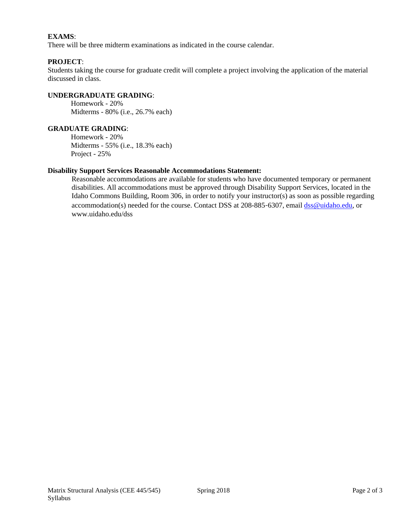# **EXAMS**:

There will be three midterm examinations as indicated in the course calendar.

#### **PROJECT**:

Students taking the course for graduate credit will complete a project involving the application of the material discussed in class.

# **UNDERGRADUATE GRADING**:

 Homework - 20% Midterms - 80% (i.e., 26.7% each)

#### **GRADUATE GRADING**:

 Homework - 20% Midterms - 55% (i.e., 18.3% each) Project - 25%

#### **Disability Support Services Reasonable Accommodations Statement:**

Reasonable accommodations are available for students who have documented temporary or permanent disabilities. All accommodations must be approved through Disability Support Services, located in the Idaho Commons Building, Room 306, in order to notify your instructor(s) as soon as possible regarding accommodation(s) needed for the course. Contact DSS at 208-885-6307, email dss@uidaho.edu, or www.uidaho.edu/dss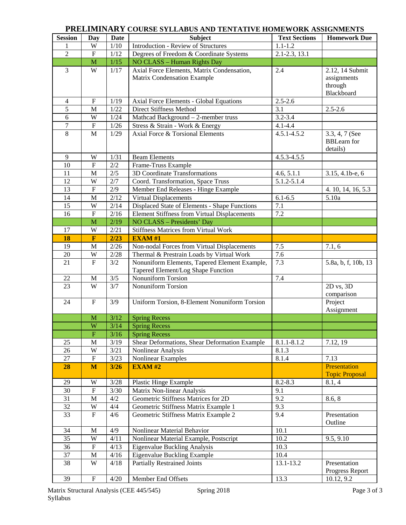# **PRELIMINARY COURSE SYLLABUS AND TENTATIVE HOMEWORK ASSIGNMENTS**

| <b>Session</b>   | <b>Day</b>                | <b>Date</b> | <b>Subject</b>                                      | <b>Text Sections</b> | <b>Homework Due</b>   |
|------------------|---------------------------|-------------|-----------------------------------------------------|----------------------|-----------------------|
|                  | W                         | 1/10        | <b>Introduction - Review of Structures</b>          | $1.1 - 1.2$          |                       |
| $\overline{2}$   | ${\bf F}$                 | 1/12        | Degrees of Freedom & Coordinate Systems             | 2.1-2.3, 13.1        |                       |
|                  | $\mathbf{M}$              | $1/15$      | NO CLASS - Human Rights Day                         |                      |                       |
| 3                | W                         | 1/17        | Axial Force Elements, Matrix Condensation,          | 2.4                  | 2.12, 14 Submit       |
|                  |                           |             | Matrix Condensation Example                         |                      | assignments           |
|                  |                           |             |                                                     |                      | through               |
|                  |                           |             |                                                     |                      | Blackboard            |
| 4                | ${\bf F}$                 | 1/19        | <b>Axial Force Elements - Global Equations</b>      | $2.5 - 2.6$          |                       |
| 5                | M                         | 1/22        | <b>Direct Stiffness Method</b>                      | 3.1                  | $2.5 - 2.6$           |
| 6                | W                         | 1/24        | Mathcad Background - 2-member truss                 | $3.2 - 3.4$          |                       |
| $\boldsymbol{7}$ | $\boldsymbol{\mathrm{F}}$ | $1/26$      | Stress & Strain - Work & Energy                     | $4.1 - 4.4$          |                       |
| 8                | M                         | 1/29        | Axial Force & Torsional Elements                    | $4.5.1 - 4.5.2$      | 3.3, 4, 7 (See        |
|                  |                           |             |                                                     |                      | <b>BBLearn</b> for    |
|                  |                           |             |                                                     |                      | details)              |
| $\overline{9}$   | W                         | 1/31        | <b>Beam Elements</b>                                | $4.5.3 - 4.5.5$      |                       |
| 10               | ${\bf F}$                 | $2/2$       | Frame-Truss Example                                 |                      |                       |
| 11               | M                         | $2/5$       | 3D Coordinate Transformations                       | 4.6, 5.1.1           | 3.15, 4.1b-e, 6       |
| 12               | W                         | $2/7$       | Coord. Transformation, Space Truss                  | $5.1.2 - 5.1.4$      |                       |
| 13               | $\boldsymbol{\mathrm{F}}$ | 2/9         | Member End Releases - Hinge Example                 |                      | 4. 10, 14, 16, 5.3    |
| 14               | M                         | 2/12        | Virtual Displacements                               | $6.1 - 6.5$          | 5.10a                 |
| 15               | W                         | 2/14        | Displaced State of Elements - Shape Functions       | 7.1                  |                       |
| 16               | $\overline{F}$            | 2/16        | <b>Element Stiffness from Virtual Displacements</b> | 7.2                  |                       |
|                  | M                         | 2/19        | NO CLASS - Presidents' Day                          |                      |                       |
| 17               | W                         | 2/21        | <b>Stiffness Matrices from Virtual Work</b>         |                      |                       |
| 18               | $\overline{\textbf{F}}$   | 2/23        | <b>EXAM#1</b>                                       |                      |                       |
| 19               | M                         | 2/26        | Non-nodal Forces from Virtual Displacements         | 7.5                  | 7.1, 6                |
| 20               | W                         | 2/28        | Thermal & Prestrain Loads by Virtual Work           | 7.6                  |                       |
| 21               | $\overline{F}$            | 3/2         | Nonuniform Elements, Tapered Element Example,       | 7.3                  | 5.8a, b, f, 10b, 13   |
|                  |                           |             | Tapered Element/Log Shape Function                  |                      |                       |
| 22               | M                         | 3/5         | Nonuniform Torsion                                  | 7.4                  |                       |
| 23               | W                         | 3/7         | <b>Nonuniform Torsion</b>                           |                      | $2D$ vs, $3D$         |
|                  |                           |             |                                                     |                      | comparison            |
| 24               | ${\bf F}$                 | 3/9         | Uniform Torsion, 8-Element Nonuniform Torsion       |                      | Project               |
|                  |                           |             |                                                     |                      | Assignment            |
|                  | M                         | 3/12        | <b>Spring Recess</b>                                |                      |                       |
|                  | W                         | 3/14        | <b>Spring Recess</b>                                |                      |                       |
|                  | ${\bf F}$                 | 3/16        | <b>Spring Recess</b>                                |                      |                       |
| 25               | M                         | 3/19        | Shear Deformations, Shear Deformation Example       | $8.1.1 - 8.1.2$      | 7.12, 19              |
| 26               | W                         | 3/21        | Nonlinear Analysis                                  | 8.1.3                |                       |
| 27               | $\overline{F}$            | 3/23        | <b>Nonlinear Examples</b>                           | 8.1.4                | 7.13                  |
| 28               | M                         | $3/26$      | <b>EXAM#2</b>                                       |                      | Presentation          |
|                  |                           |             |                                                     |                      | <b>Topic Proposal</b> |
| 29               | W                         | 3/28        | <b>Plastic Hinge Example</b>                        | $8.2 - 8.3$          | 8.1, 4                |
| 30               | ${\bf F}$                 | 3/30        | Matrix Non-linear Analysis                          | 9.1                  |                       |
| 31               | M                         | 4/2         | Geometric Stiffness Matrices for 2D                 | 9.2                  | 8.6, 8                |
| $\overline{32}$  | $\overline{W}$            | 4/4         | Geometric Stiffness Matrix Example 1                | 9.3                  |                       |
| 33               | $\overline{F}$            | 4/6         | Geometric Stiffness Matrix Example 2                | 9.4                  | Presentation          |
|                  |                           |             |                                                     |                      | Outline               |
| 34               | $\mathbf M$               | 4/9         | Nonlinear Material Behavior                         | 10.1                 |                       |
| 35               | W                         | 4/11        | Nonlinear Material Example, Postscript              | 10.2                 | 9.5, 9.10             |
| 36               | ${\bf F}$                 | 4/13        | Eigenvalue Buckling Analysis                        | 10.3                 |                       |
| $\overline{37}$  | $\mathbf M$               | 4/16        | Eigenvalue Buckling Example                         | 10.4                 |                       |
| 38               | W                         | 4/18        | <b>Partially Restrained Joints</b>                  | 13.1-13.2            | Presentation          |
|                  |                           |             |                                                     |                      | Progress Report       |
| 39               | ${\bf F}$                 | 4/20        | Member End Offsets                                  | 13.3                 | 10.12, 9.2            |